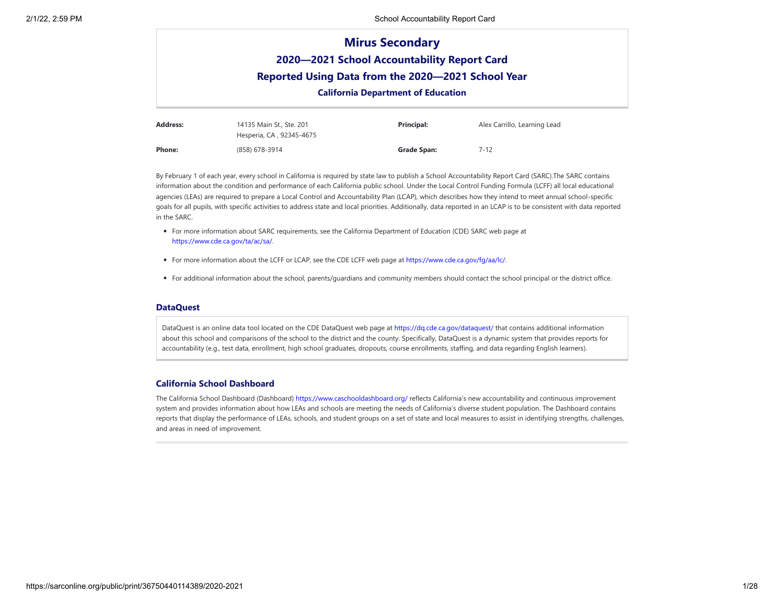|                                                    |                          | <b>Mirus Secondary</b>                      |                              |  |  |  |
|----------------------------------------------------|--------------------------|---------------------------------------------|------------------------------|--|--|--|
|                                                    |                          | 2020-2021 School Accountability Report Card |                              |  |  |  |
| Reported Using Data from the 2020-2021 School Year |                          |                                             |                              |  |  |  |
|                                                    |                          | <b>California Department of Education</b>   |                              |  |  |  |
| Address:                                           | 14135 Main St., Ste. 201 | <b>Principal:</b>                           | Alex Carrillo, Learning Lead |  |  |  |

|        | Hesperia, CA, 92345-4675 |             |          |
|--------|--------------------------|-------------|----------|
| Phone: | (858) 678-3914           | Grade Span: | $7 - 12$ |

By February 1 of each year, every school in California is required by state law to publish a School Accountability Report Card (SARC).The SARC contains information about the condition and performance of each California public school. Under the Local Control Funding Formula (LCFF) all local educational agencies (LEAs) are required to prepare a Local Control and Accountability Plan (LCAP), which describes how they intend to meet annual school-specific goals for all pupils, with specific activities to address state and local priorities. Additionally, data reported in an LCAP is to be consistent with data reported in the SARC.

- For more information about SARC requirements, see the California Department of Education (CDE) SARC web page at <https://www.cde.ca.gov/ta/ac/sa/>.
- For more information about the LCFF or LCAP, see the CDE LCFF web page at <https://www.cde.ca.gov/fg/aa/lc/>.
- For additional information about the school, parents/guardians and community members should contact the school principal or the district office.

## **DataQuest**

DataQuest is an online data tool located on the CDE DataQuest web page at https://dg.cde.ca.gov/dataguest/ that contains additional information about this school and comparisons of the school to the district and the county. Specifically, DataQuest is a dynamic system that provides reports for accountability (e.g., test data, enrollment, high school graduates, dropouts, course enrollments, staffing, and data regarding English learners).

# **California School Dashboard**

The California School Dashboard (Dashboard) <https://www.caschooldashboard.org/> reflects California's new accountability and continuous improvement system and provides information about how LEAs and schools are meeting the needs of California's diverse student population. The Dashboard contains reports that display the performance of LEAs, schools, and student groups on a set of state and local measures to assist in identifying strengths, challenges, and areas in need of improvement.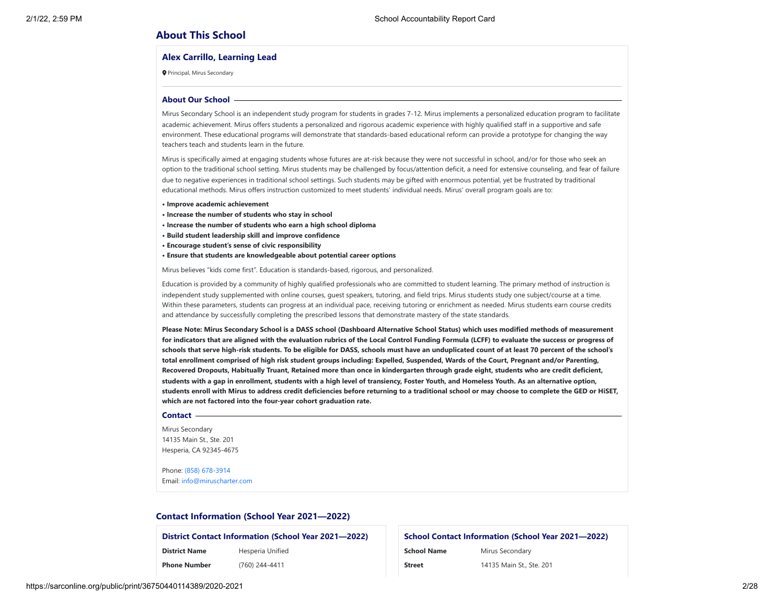# **About This School**

### **Alex Carrillo, Learning Lead**

Principal, Mirus Secondary

#### **About Our School**

Mirus Secondary School is an independent study program for students in grades 7-12. Mirus implements a personalized education program to facilitate academic achievement. Mirus offers students a personalized and rigorous academic experience with highly qualified staff in a supportive and safe environment. These educational programs will demonstrate that standards-based educational reform can provide a prototype for changing the way teachers teach and students learn in the future.

Mirus is specifically aimed at engaging students whose futures are at-risk because they were not successful in school, and/or for those who seek an option to the traditional school setting. Mirus students may be challenged by focus/attention deficit, a need for extensive counseling, and fear of failure due to negative experiences in traditional school settings. Such students may be gifted with enormous potential, yet be frustrated by traditional educational methods. Mirus offers instruction customized to meet students' individual needs. Mirus' overall program goals are to:

- **Improve academic achievement**
- **Increase the number of students who stay in school**
- **Increase the number of students who earn a high school diploma**
- **Build student leadership skill and improve confidence**
- **Encourage student's sense of civic responsibility**
- **Ensure that students are knowledgeable about potential career options**

Mirus believes "kids come first". Education is standards-based, rigorous, and personalized.

Education is provided by a community of highly qualified professionals who are committed to student learning. The primary method of instruction is independent study supplemented with online courses, guest speakers, tutoring, and field trips. Mirus students study one subject/course at a time. Within these parameters, students can progress at an individual pace, receiving tutoring or enrichment as needed. Mirus students earn course credits and attendance by successfully completing the prescribed lessons that demonstrate mastery of the state standards.

**Please Note: Mirus Secondary School is a DASS school (Dashboard Alternative School Status) which uses modified methods of measurement for indicators that are aligned with the evaluation rubrics of the Local Control Funding Formula (LCFF) to evaluate the success or progress of schools that serve high-risk students. To be eligible for DASS, schools must have an unduplicated count of at least 70 percent of the school's total enrollment comprised of high risk student groups including: Expelled, Suspended, Wards of the Court, Pregnant and/or Parenting, Recovered Dropouts, Habitually Truant, Retained more than once in kindergarten through grade eight, students who are credit deficient, students with a gap in enrollment, students with a high level of transiency, Foster Youth, and Homeless Youth. As an alternative option, students enroll with Mirus to address credit deficiencies before returning to a traditional school or may choose to complete the GED or HiSET, which are not factored into the four-year cohort graduation rate.**

#### **Contact**

Mirus Secondary 14135 Main St., Ste. 201 Hesperia, CA 92345-4675

Phone: (858) [678-3914](tel:(858) 678-3914) Email: [info@miruscharter.com](mailto:info@miruscharter.com)

## **Contact Information (School Year 2021—2022)**

**District Contact Information (School Year 2021—2022) District Name** Hesperia Unified

**Phone Number** (760) 244-4411

| <b>School Contact Information (School Year 2021–2022)</b> |                          |  |  |
|-----------------------------------------------------------|--------------------------|--|--|
| <b>School Name</b>                                        | Mirus Secondary          |  |  |
| <b>Street</b>                                             | 14135 Main St., Ste. 201 |  |  |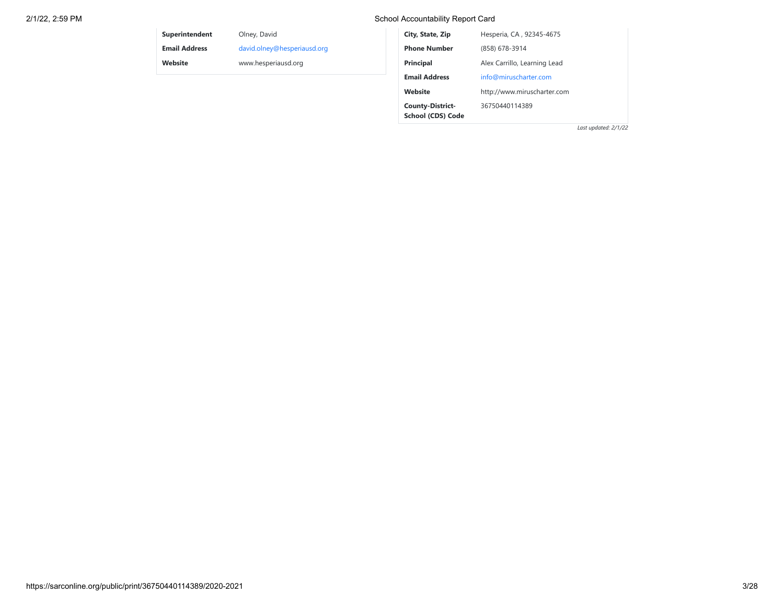# 2/1/22, 2:59 PM School Accountability Report Card

**School (CDS) Code**

| <b>Superintendent</b> | Olney, David                | City, State, Zip        | Hesperia, CA, 92345-4675     |
|-----------------------|-----------------------------|-------------------------|------------------------------|
| <b>Email Address</b>  | david.olney@hesperiausd.org | <b>Phone Number</b>     | (858) 678-3914               |
| Website               | www.hesperiausd.org         | <b>Principal</b>        | Alex Carrillo, Learning Lead |
|                       |                             | <b>Email Address</b>    | info@miruscharter.com        |
|                       |                             | Website                 | http://www.miruscharter.com  |
|                       |                             | <b>County-District-</b> | 36750440114389               |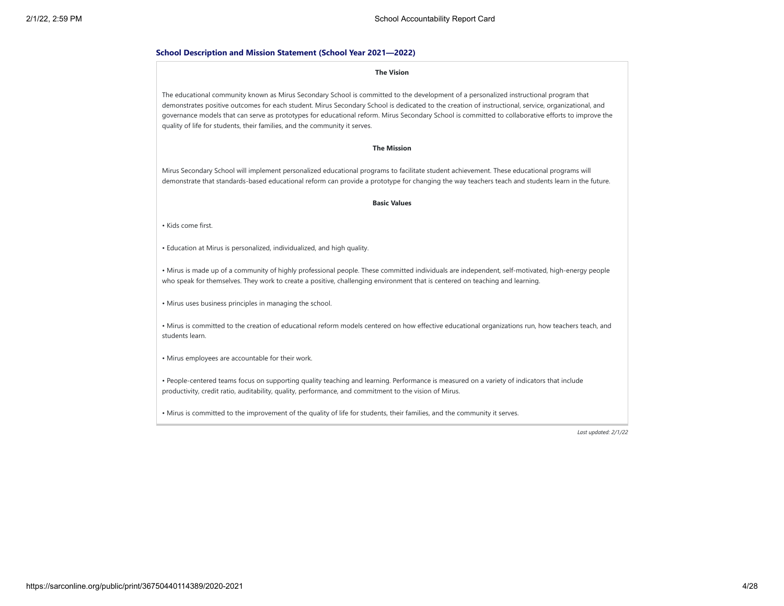### **School Description and Mission Statement (School Year 2021—2022)**

#### **The Vision**

The educational community known as Mirus Secondary School is committed to the development of a personalized instructional program that demonstrates positive outcomes for each student. Mirus Secondary School is dedicated to the creation of instructional, service, organizational, and governance models that can serve as prototypes for educational reform. Mirus Secondary School is committed to collaborative efforts to improve the quality of life for students, their families, and the community it serves.

### **The Mission**

Mirus Secondary School will implement personalized educational programs to facilitate student achievement. These educational programs will demonstrate that standards-based educational reform can provide a prototype for changing the way teachers teach and students learn in the future.

#### **Basic Values**

• Kids come first.

• Education at Mirus is personalized, individualized, and high quality.

• Mirus is made up of a community of highly professional people. These committed individuals are independent, self-motivated, high-energy people who speak for themselves. They work to create a positive, challenging environment that is centered on teaching and learning.

• Mirus uses business principles in managing the school.

• Mirus is committed to the creation of educational reform models centered on how effective educational organizations run, how teachers teach, and students learn.

• Mirus employees are accountable for their work.

• People-centered teams focus on supporting quality teaching and learning. Performance is measured on a variety of indicators that include productivity, credit ratio, auditability, quality, performance, and commitment to the vision of Mirus.

• Mirus is committed to the improvement of the quality of life for students, their families, and the community it serves.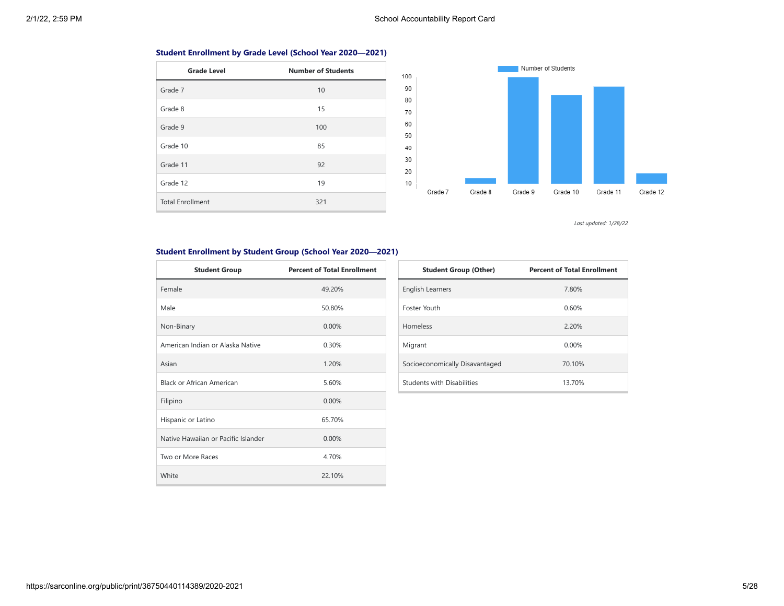# **Student Enrollment by Grade Level (School Year 2020—2021)**

| <b>Grade Level</b>      | <b>Number of Students</b> |
|-------------------------|---------------------------|
| Grade 7                 | 10                        |
| Grade 8                 | 15                        |
| Grade 9                 | 100                       |
| Grade 10                | 85                        |
| Grade 11                | 92                        |
| Grade 12                | 19                        |
| <b>Total Enrollment</b> | 321                       |



*Last updated: 1/28/22*

# **Student Enrollment by Student Group (School Year 2020—2021)**

| <b>Student Group</b>                | <b>Percent of Total Enrollment</b> |
|-------------------------------------|------------------------------------|
| Female                              | 49.20%                             |
| Male                                | 50.80%                             |
| Non-Binary                          | 0.00%                              |
| American Indian or Alaska Native    | 0.30%                              |
| Asian                               | 1.20%                              |
| Black or African American           | 5.60%                              |
| Filipino                            | 0.00%                              |
| Hispanic or Latino                  | 65.70%                             |
| Native Hawaiian or Pacific Islander | 0.00%                              |
| Two or More Races                   | 4.70%                              |
| White                               | 22.10%                             |

| <b>Student Group (Other)</b>      | <b>Percent of Total Enrollment</b> |
|-----------------------------------|------------------------------------|
| <b>English Learners</b>           | 7.80%                              |
| Foster Youth                      | 0.60%                              |
| <b>Homeless</b>                   | 2.20%                              |
| Migrant                           | 0.00%                              |
| Socioeconomically Disavantaged    | 70.10%                             |
| <b>Students with Disabilities</b> | 13.70%                             |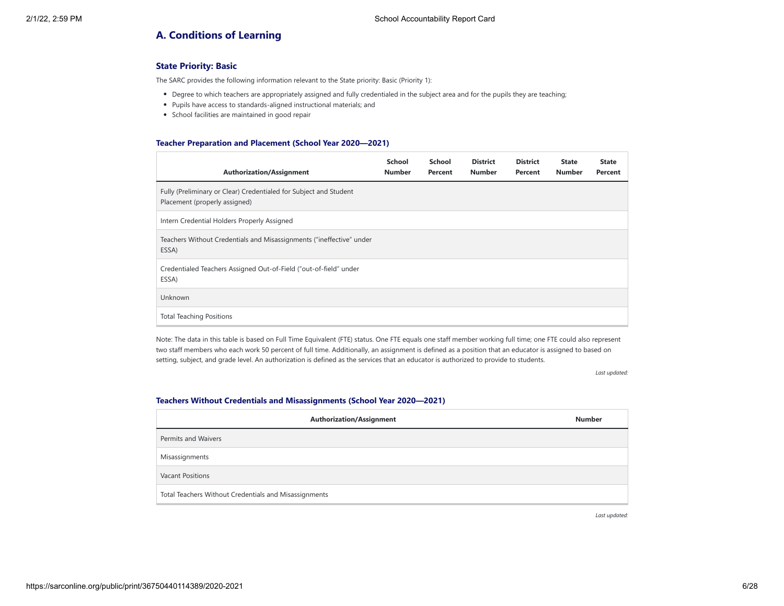# **A. Conditions of Learning**

# **State Priority: Basic**

The SARC provides the following information relevant to the State priority: Basic (Priority 1):

- Degree to which teachers are appropriately assigned and fully credentialed in the subject area and for the pupils they are teaching;
- Pupils have access to standards-aligned instructional materials; and
- School facilities are maintained in good repair

### **Teacher Preparation and Placement (School Year 2020—2021)**

| <b>Authorization/Assignment</b>                                                                    | School<br><b>Number</b> | School<br>Percent | <b>District</b><br><b>Number</b> | <b>District</b><br>Percent | <b>State</b><br><b>Number</b> | <b>State</b><br>Percent |
|----------------------------------------------------------------------------------------------------|-------------------------|-------------------|----------------------------------|----------------------------|-------------------------------|-------------------------|
| Fully (Preliminary or Clear) Credentialed for Subject and Student<br>Placement (properly assigned) |                         |                   |                                  |                            |                               |                         |
| Intern Credential Holders Properly Assigned                                                        |                         |                   |                                  |                            |                               |                         |
| Teachers Without Credentials and Misassignments ("ineffective" under<br>ESSA)                      |                         |                   |                                  |                            |                               |                         |
| Credentialed Teachers Assigned Out-of-Field ("out-of-field" under<br>ESSA)                         |                         |                   |                                  |                            |                               |                         |
| Unknown                                                                                            |                         |                   |                                  |                            |                               |                         |
| <b>Total Teaching Positions</b>                                                                    |                         |                   |                                  |                            |                               |                         |

Note: The data in this table is based on Full Time Equivalent (FTE) status. One FTE equals one staff member working full time; one FTE could also represent two staff members who each work 50 percent of full time. Additionally, an assignment is defined as a position that an educator is assigned to based on setting, subject, and grade level. An authorization is defined as the services that an educator is authorized to provide to students.

*Last updated:*

### **Teachers Without Credentials and Misassignments (School Year 2020—2021)**

| <b>Authorization/Assignment</b>                       | <b>Number</b> |
|-------------------------------------------------------|---------------|
| Permits and Waivers                                   |               |
| Misassignments                                        |               |
| <b>Vacant Positions</b>                               |               |
| Total Teachers Without Credentials and Misassignments |               |

*Last updated:*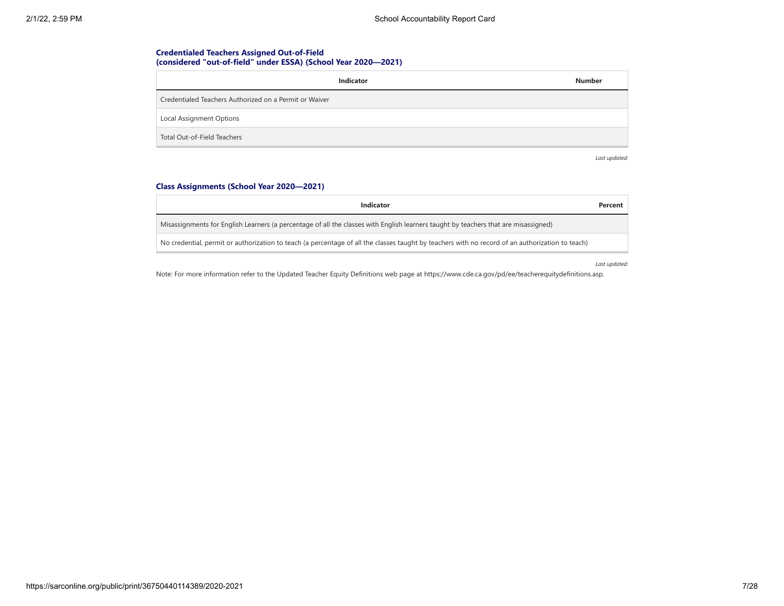# **Credentialed Teachers Assigned Out-of-Field (considered "out-of-field" under ESSA) (School Year 2020—2021)**

| Indicator                                              | <b>Number</b> |
|--------------------------------------------------------|---------------|
| Credentialed Teachers Authorized on a Permit or Waiver |               |
| Local Assignment Options                               |               |
| Total Out-of-Field Teachers                            |               |

*Last updated:*

# **Class Assignments (School Year 2020—2021)**

| Indicator                                                                                                                                        | Percent |
|--------------------------------------------------------------------------------------------------------------------------------------------------|---------|
| Misassignments for English Learners (a percentage of all the classes with English learners taught by teachers that are misassigned)              |         |
| No credential, permit or authorization to teach (a percentage of all the classes taught by teachers with no record of an authorization to teach) |         |

*Last updated:*

Note: For more information refer to the Updated Teacher Equity Definitions web page at https://www.cde.ca.gov/pd/ee/teacherequitydefinitions.asp.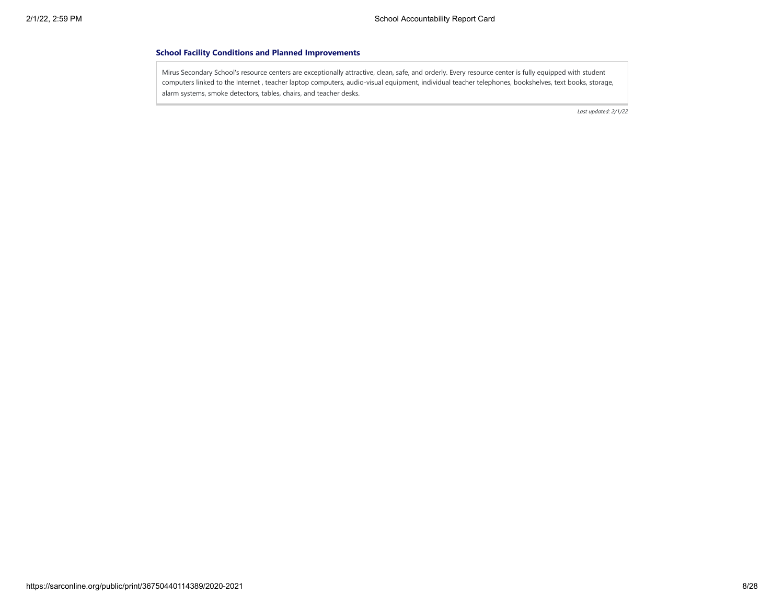### **School Facility Conditions and Planned Improvements**

Mirus Secondary School's resource centers are exceptionally attractive, clean, safe, and orderly. Every resource center is fully equipped with student computers linked to the Internet , teacher laptop computers, audio-visual equipment, individual teacher telephones, bookshelves, text books, storage, alarm systems, smoke detectors, tables, chairs, and teacher desks.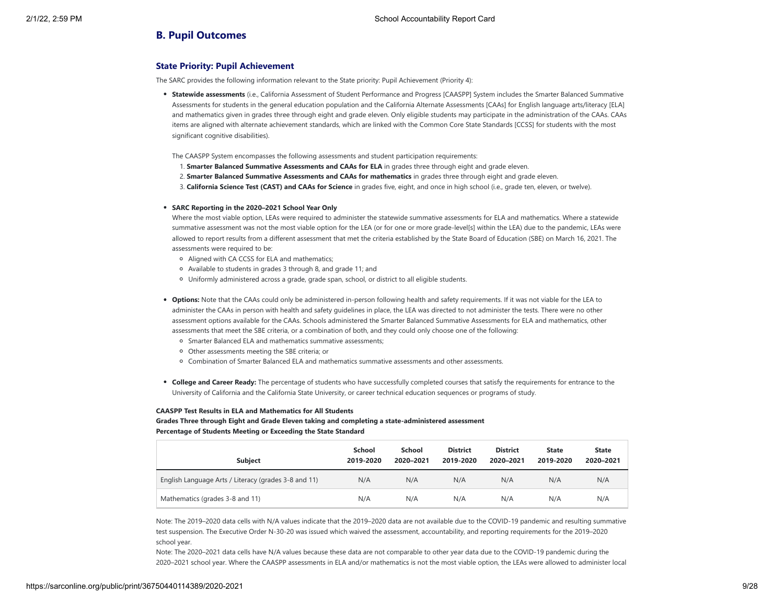# **B. Pupil Outcomes**

## **State Priority: Pupil Achievement**

The SARC provides the following information relevant to the State priority: Pupil Achievement (Priority 4):

- **Statewide assessments** (i.e., California Assessment of Student Performance and Progress [CAASPP] System includes the Smarter Balanced Summative Assessments for students in the general education population and the California Alternate Assessments [CAAs] for English language arts/literacy [ELA] and mathematics given in grades three through eight and grade eleven. Only eligible students may participate in the administration of the CAAs. CAAs items are aligned with alternate achievement standards, which are linked with the Common Core State Standards [CCSS] for students with the most significant cognitive disabilities).
- The CAASPP System encompasses the following assessments and student participation requirements:
- 1. **Smarter Balanced Summative Assessments and CAAs for ELA** in grades three through eight and grade eleven.
- 2. **Smarter Balanced Summative Assessments and CAAs for mathematics** in grades three through eight and grade eleven.
- 3. **California Science Test (CAST) and CAAs for Science** in grades five, eight, and once in high school (i.e., grade ten, eleven, or twelve).

#### **SARC Reporting in the 2020–2021 School Year Only**

Where the most viable option, LEAs were required to administer the statewide summative assessments for ELA and mathematics. Where a statewide summative assessment was not the most viable option for the LEA (or for one or more grade-level[s] within the LEA) due to the pandemic, LEAs were allowed to report results from a different assessment that met the criteria established by the State Board of Education (SBE) on March 16, 2021. The assessments were required to be:

- Aligned with CA CCSS for ELA and mathematics;
- Available to students in grades 3 through 8, and grade 11; and
- Uniformly administered across a grade, grade span, school, or district to all eligible students.
- **Options:** Note that the CAAs could only be administered in-person following health and safety requirements. If it was not viable for the LEA to administer the CAAs in person with health and safety guidelines in place, the LEA was directed to not administer the tests. There were no other assessment options available for the CAAs. Schools administered the Smarter Balanced Summative Assessments for ELA and mathematics, other assessments that meet the SBE criteria, or a combination of both, and they could only choose one of the following:
	- Smarter Balanced ELA and mathematics summative assessments;
	- Other assessments meeting the SBE criteria; or
	- Combination of Smarter Balanced ELA and mathematics summative assessments and other assessments.
- **College and Career Ready:** The percentage of students who have successfully completed courses that satisfy the requirements for entrance to the University of California and the California State University, or career technical education sequences or programs of study.

#### **CAASPP Test Results in ELA and Mathematics for All Students**

**Grades Three through Eight and Grade Eleven taking and completing a state-administered assessment Percentage of Students Meeting or Exceeding the State Standard**

| <b>Subject</b>                                       | <b>School</b><br>2019-2020 | School<br>2020-2021 | <b>District</b><br>2019-2020 | <b>District</b><br>2020-2021 | <b>State</b><br>2019-2020 | <b>State</b><br>2020-2021 |
|------------------------------------------------------|----------------------------|---------------------|------------------------------|------------------------------|---------------------------|---------------------------|
| English Language Arts / Literacy (grades 3-8 and 11) | N/A                        | N/A                 | N/A                          | N/A                          | N/A                       | N/A                       |
| Mathematics (grades 3-8 and 11)                      | N/A                        | N/A                 | N/A                          | N/A                          | N/A                       | N/A                       |

Note: The 2019–2020 data cells with N/A values indicate that the 2019–2020 data are not available due to the COVID-19 pandemic and resulting summative test suspension. The Executive Order N-30-20 was issued which waived the assessment, accountability, and reporting requirements for the 2019–2020 school year.

Note: The 2020–2021 data cells have N/A values because these data are not comparable to other year data due to the COVID-19 pandemic during the 2020–2021 school year. Where the CAASPP assessments in ELA and/or mathematics is not the most viable option, the LEAs were allowed to administer local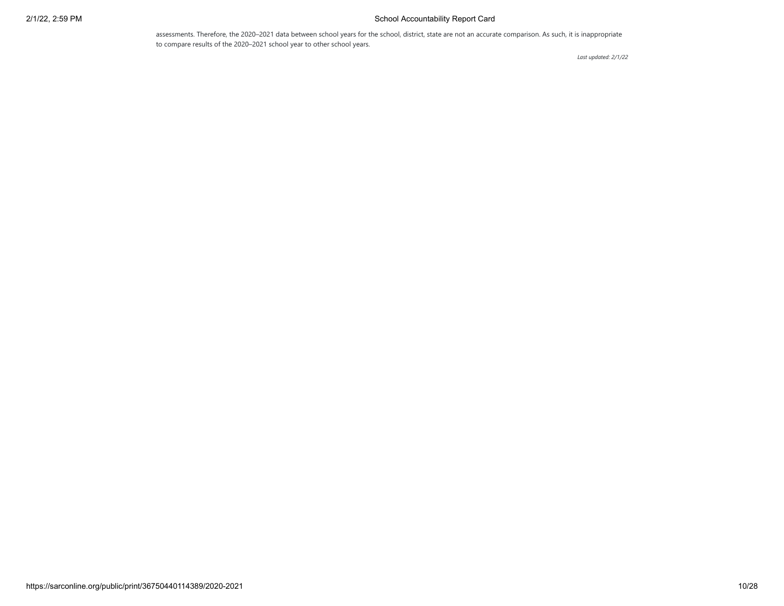# 2/1/22, 2:59 PM School Accountability Report Card

assessments. Therefore, the 2020–2021 data between school years for the school, district, state are not an accurate comparison. As such, it is inappropriate to compare results of the 2020–2021 school year to other school years.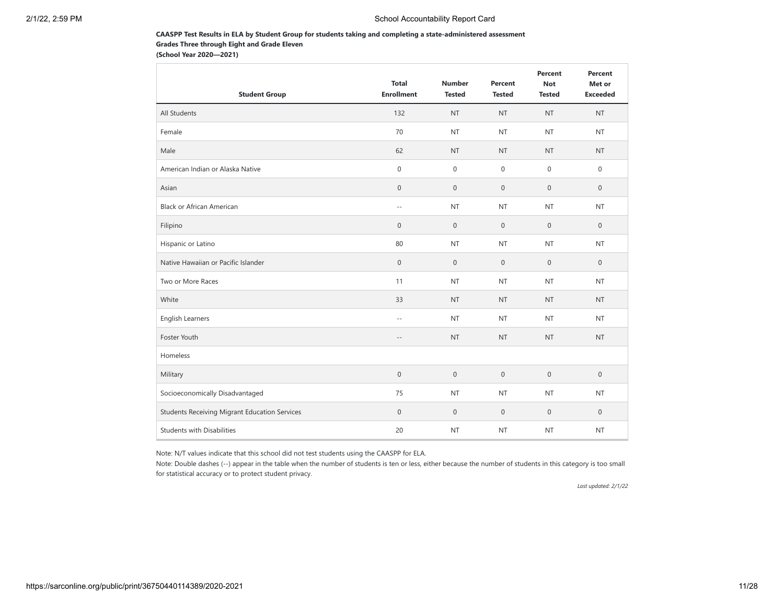## **CAASPP Test Results in ELA by Student Group for students taking and completing a state-administered assessment Grades Three through Eight and Grade Eleven**

**(School Year 2020—2021)**

| <b>Student Group</b>                                 | <b>Total</b><br><b>Enrollment</b> | <b>Number</b><br><b>Tested</b> | Percent<br><b>Tested</b> | Percent<br><b>Not</b><br><b>Tested</b> | Percent<br>Met or<br><b>Exceeded</b> |
|------------------------------------------------------|-----------------------------------|--------------------------------|--------------------------|----------------------------------------|--------------------------------------|
| All Students                                         | 132                               | <b>NT</b>                      | <b>NT</b>                | <b>NT</b>                              | <b>NT</b>                            |
| Female                                               | 70                                | <b>NT</b>                      | <b>NT</b>                | <b>NT</b>                              | <b>NT</b>                            |
| Male                                                 | 62                                | <b>NT</b>                      | <b>NT</b>                | <b>NT</b>                              | <b>NT</b>                            |
| American Indian or Alaska Native                     | $\mathsf{O}\xspace$               | $\mathbf 0$                    | $\mathbf 0$              | $\mathbf 0$                            | $\mathbb O$                          |
| Asian                                                | $\mathbb O$                       | $\mathbf 0$                    | $\mathbf 0$              | $\mathsf{O}\xspace$                    | $\mathbf 0$                          |
| <b>Black or African American</b>                     | $\sim$ $\sim$                     | <b>NT</b>                      | <b>NT</b>                | <b>NT</b>                              | <b>NT</b>                            |
| Filipino                                             | $\mathsf{O}\xspace$               | $\boldsymbol{0}$               | $\mathbf 0$              | $\mathbf 0$                            | $\mathbb O$                          |
| Hispanic or Latino                                   | 80                                | <b>NT</b>                      | <b>NT</b>                | <b>NT</b>                              | <b>NT</b>                            |
| Native Hawaiian or Pacific Islander                  | $\mathsf{O}\xspace$               | $\mathbf 0$                    | $\mathbf 0$              | $\mathbf{0}$                           | $\mathbf{0}$                         |
| Two or More Races                                    | 11                                | <b>NT</b>                      | <b>NT</b>                | <b>NT</b>                              | <b>NT</b>                            |
| White                                                | 33                                | <b>NT</b>                      | <b>NT</b>                | <b>NT</b>                              | <b>NT</b>                            |
| <b>English Learners</b>                              | $\sim$ $\sim$                     | <b>NT</b>                      | <b>NT</b>                | <b>NT</b>                              | <b>NT</b>                            |
| Foster Youth                                         | $-\,-$                            | <b>NT</b>                      | <b>NT</b>                | <b>NT</b>                              | <b>NT</b>                            |
| Homeless                                             |                                   |                                |                          |                                        |                                      |
| Military                                             | $\mathbb O$                       | $\mathbf 0$                    | $\mathbf 0$              | $\mathbf 0$                            | $\mathbf{0}$                         |
| Socioeconomically Disadvantaged                      | 75                                | <b>NT</b>                      | <b>NT</b>                | <b>NT</b>                              | <b>NT</b>                            |
| <b>Students Receiving Migrant Education Services</b> | $\mathsf{O}\xspace$               | $\mathbf 0$                    | $\mathbf 0$              | $\mathsf{O}\xspace$                    | $\mathbf 0$                          |
| <b>Students with Disabilities</b>                    | 20                                | <b>NT</b>                      | <b>NT</b>                | <b>NT</b>                              | <b>NT</b>                            |

Note: N/T values indicate that this school did not test students using the CAASPP for ELA.

Note: Double dashes (--) appear in the table when the number of students is ten or less, either because the number of students in this category is too small for statistical accuracy or to protect student privacy.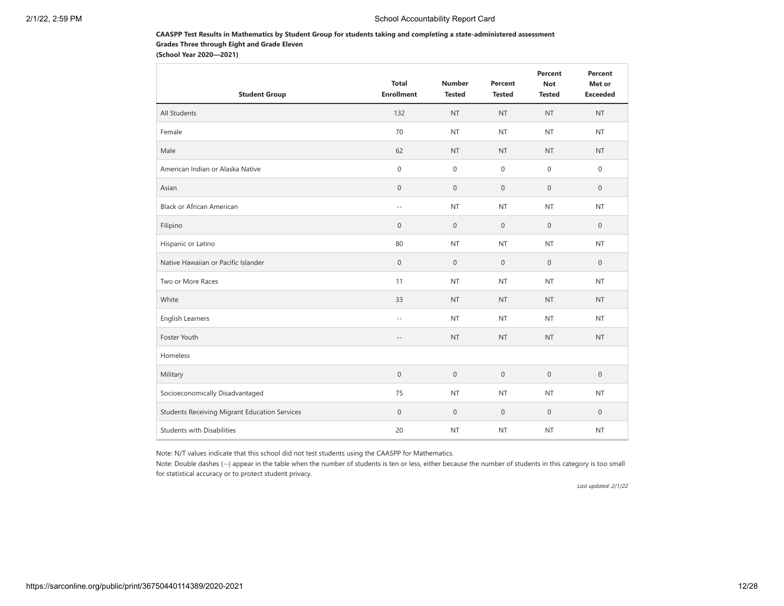## **CAASPP Test Results in Mathematics by Student Group for students taking and completing a state-administered assessment Grades Three through Eight and Grade Eleven**

**(School Year 2020—2021)**

| <b>Student Group</b>                                 | <b>Total</b><br><b>Enrollment</b> | <b>Number</b><br><b>Tested</b> | Percent<br><b>Tested</b> | Percent<br><b>Not</b><br><b>Tested</b> | Percent<br>Met or<br><b>Exceeded</b> |
|------------------------------------------------------|-----------------------------------|--------------------------------|--------------------------|----------------------------------------|--------------------------------------|
| All Students                                         | 132                               | <b>NT</b>                      | <b>NT</b>                | <b>NT</b>                              | <b>NT</b>                            |
| Female                                               | 70                                | <b>NT</b>                      | <b>NT</b>                | <b>NT</b>                              | <b>NT</b>                            |
| Male                                                 | 62                                | <b>NT</b>                      | <b>NT</b>                | <b>NT</b>                              | <b>NT</b>                            |
| American Indian or Alaska Native                     | $\mathsf{O}\xspace$               | $\mathbf 0$                    | $\mathbf 0$              | $\mathbf 0$                            | $\mathbb O$                          |
| Asian                                                | $\mathbf 0$                       | $\mathbf 0$                    | $\mathbf 0$              | $\mathsf{O}\xspace$                    | $\mathbf 0$                          |
| <b>Black or African American</b>                     | $\sim$ $\sim$                     | <b>NT</b>                      | <b>NT</b>                | <b>NT</b>                              | <b>NT</b>                            |
| Filipino                                             | $\boldsymbol{0}$                  | $\boldsymbol{0}$               | $\mathbf 0$              | $\mathbf 0$                            | $\mathbb O$                          |
| Hispanic or Latino                                   | 80                                | <b>NT</b>                      | <b>NT</b>                | <b>NT</b>                              | <b>NT</b>                            |
| Native Hawaiian or Pacific Islander                  | $\mathsf{O}\xspace$               | $\mathbf 0$                    | $\mathbf 0$              | $\mathbf{0}$                           | $\mathbf{0}$                         |
| Two or More Races                                    | 11                                | <b>NT</b>                      | <b>NT</b>                | <b>NT</b>                              | <b>NT</b>                            |
| White                                                | 33                                | <b>NT</b>                      | <b>NT</b>                | <b>NT</b>                              | <b>NT</b>                            |
| <b>English Learners</b>                              | $\sim$ $\sim$                     | <b>NT</b>                      | <b>NT</b>                | <b>NT</b>                              | <b>NT</b>                            |
| Foster Youth                                         | $-\,-$                            | <b>NT</b>                      | <b>NT</b>                | <b>NT</b>                              | <b>NT</b>                            |
| Homeless                                             |                                   |                                |                          |                                        |                                      |
| Military                                             | $\mathbf 0$                       | $\mathbf 0$                    | $\mathbf 0$              | $\mathbf 0$                            | $\mathbf{0}$                         |
| Socioeconomically Disadvantaged                      | 75                                | <b>NT</b>                      | <b>NT</b>                | <b>NT</b>                              | <b>NT</b>                            |
| <b>Students Receiving Migrant Education Services</b> | $\mathsf{O}\xspace$               | $\mathbf 0$                    | $\mathbf 0$              | $\mathsf{O}\xspace$                    | $\mathbf 0$                          |
| <b>Students with Disabilities</b>                    | 20                                | <b>NT</b>                      | <b>NT</b>                | <b>NT</b>                              | <b>NT</b>                            |

Note: N/T values indicate that this school did not test students using the CAASPP for Mathematics.

Note: Double dashes (--) appear in the table when the number of students is ten or less, either because the number of students in this category is too small for statistical accuracy or to protect student privacy.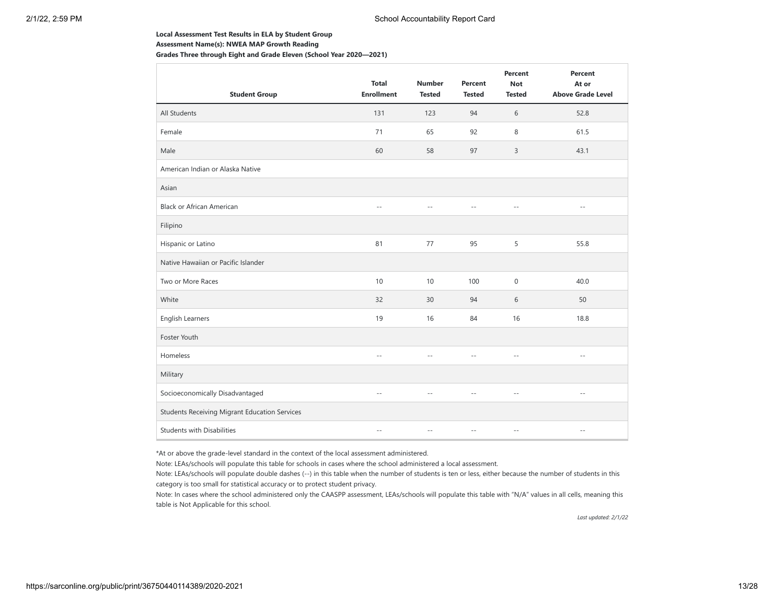#### **Local Assessment Test Results in ELA by Student Group**

**Assessment Name(s): NWEA MAP Growth Reading**

**Grades Three through Eight and Grade Eleven (School Year 2020—2021)**

| <b>Student Group</b>                          | <b>Total</b><br><b>Enrollment</b> | <b>Number</b><br><b>Tested</b> | <b>Percent</b><br><b>Tested</b> | Percent<br><b>Not</b><br><b>Tested</b> | Percent<br>At or<br><b>Above Grade Level</b> |
|-----------------------------------------------|-----------------------------------|--------------------------------|---------------------------------|----------------------------------------|----------------------------------------------|
| All Students                                  | 131                               | 123                            | 94                              | 6                                      | 52.8                                         |
| Female                                        | 71                                | 65                             | 92                              | 8                                      | 61.5                                         |
| Male                                          | 60                                | 58                             | 97                              | 3                                      | 43.1                                         |
| American Indian or Alaska Native              |                                   |                                |                                 |                                        |                                              |
| Asian                                         |                                   |                                |                                 |                                        |                                              |
| <b>Black or African American</b>              | $\overline{a}$                    | $-$                            |                                 | $-$                                    | $ -$                                         |
| Filipino                                      |                                   |                                |                                 |                                        |                                              |
| Hispanic or Latino                            | 81                                | 77                             | 95                              | 5                                      | 55.8                                         |
| Native Hawaiian or Pacific Islander           |                                   |                                |                                 |                                        |                                              |
| Two or More Races                             | 10                                | 10                             | 100                             | $\mathbf 0$                            | 40.0                                         |
| White                                         | 32                                | 30                             | 94                              | 6                                      | 50                                           |
| English Learners                              | 19                                | 16                             | 84                              | 16                                     | 18.8                                         |
| Foster Youth                                  |                                   |                                |                                 |                                        |                                              |
| Homeless                                      | $-$                               |                                |                                 | $\overline{a}$                         | $\sim$ $\sim$                                |
| Military                                      |                                   |                                |                                 |                                        |                                              |
| Socioeconomically Disadvantaged               | $-$                               | $\sim$                         |                                 | $\sim$ $\sim$                          | $\sim$ $\sim$                                |
| Students Receiving Migrant Education Services |                                   |                                |                                 |                                        |                                              |
| <b>Students with Disabilities</b>             | $\sim$ $\sim$                     | $\sim$ $\sim$                  | $-$                             | $\cdots$                               | $\sim$ $-$                                   |

\*At or above the grade-level standard in the context of the local assessment administered.

Note: LEAs/schools will populate this table for schools in cases where the school administered a local assessment.

Note: LEAs/schools will populate double dashes (--) in this table when the number of students is ten or less, either because the number of students in this category is too small for statistical accuracy or to protect student privacy.

Note: In cases where the school administered only the CAASPP assessment, LEAs/schools will populate this table with "N/A" values in all cells, meaning this table is Not Applicable for this school.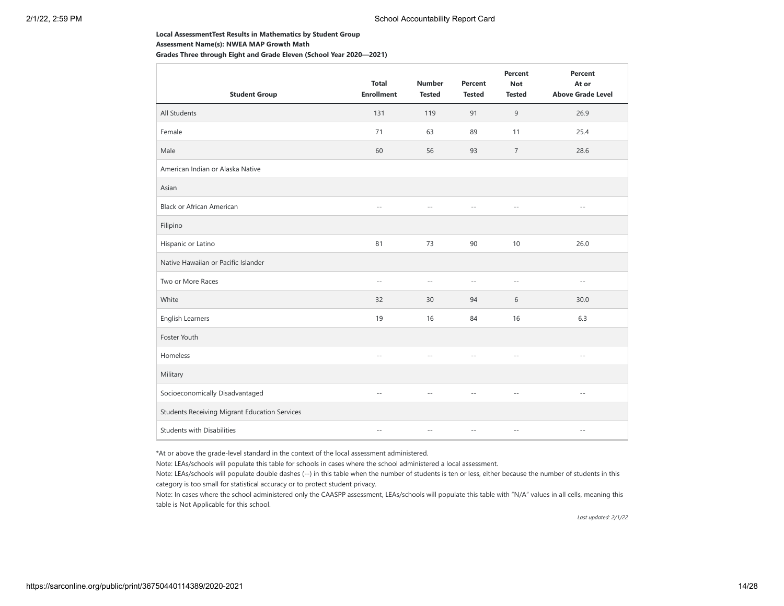#### **Local AssessmentTest Results in Mathematics by Student Group**

**Assessment Name(s): NWEA MAP Growth Math**

**Grades Three through Eight and Grade Eleven (School Year 2020—2021)**

| <b>Student Group</b>                          | <b>Total</b><br><b>Enrollment</b> | <b>Number</b><br><b>Tested</b> | Percent<br><b>Tested</b> | Percent<br><b>Not</b><br><b>Tested</b> | Percent<br>At or<br><b>Above Grade Level</b> |
|-----------------------------------------------|-----------------------------------|--------------------------------|--------------------------|----------------------------------------|----------------------------------------------|
| All Students                                  | 131                               | 119                            | 91                       | 9                                      | 26.9                                         |
| Female                                        | 71                                | 63                             | 89                       | 11                                     | 25.4                                         |
| Male                                          | 60                                | 56                             | 93                       | $\overline{7}$                         | 28.6                                         |
| American Indian or Alaska Native              |                                   |                                |                          |                                        |                                              |
| Asian                                         |                                   |                                |                          |                                        |                                              |
| <b>Black or African American</b>              | $\overline{a}$                    | $-$                            |                          | $-$                                    | $ -$                                         |
| Filipino                                      |                                   |                                |                          |                                        |                                              |
| Hispanic or Latino                            | 81                                | 73                             | 90                       | 10                                     | 26.0                                         |
| Native Hawaiian or Pacific Islander           |                                   |                                |                          |                                        |                                              |
| Two or More Races                             | $\sim$ $\sim$                     | $\sim$ $\sim$                  | $\sim$ $\sim$            | $\sim$ $-$                             | $\sim$ $\sim$                                |
| White                                         | 32                                | 30                             | 94                       | 6                                      | 30.0                                         |
| English Learners                              | 19                                | 16                             | 84                       | 16                                     | 6.3                                          |
| Foster Youth                                  |                                   |                                |                          |                                        |                                              |
| Homeless                                      | $-$                               |                                |                          | $\overline{a}$                         | $\sim$ $\sim$                                |
| Military                                      |                                   |                                |                          |                                        |                                              |
| Socioeconomically Disadvantaged               | $-$                               | $\sim$                         | --                       | $\sim$ $\sim$                          | $\sim$ $\sim$                                |
| Students Receiving Migrant Education Services |                                   |                                |                          |                                        |                                              |
| <b>Students with Disabilities</b>             | $\sim$ $\sim$                     | $\sim$ $\sim$                  | $-$                      | $\cdots$                               | $\sim$ $-$                                   |

\*At or above the grade-level standard in the context of the local assessment administered.

Note: LEAs/schools will populate this table for schools in cases where the school administered a local assessment.

Note: LEAs/schools will populate double dashes (--) in this table when the number of students is ten or less, either because the number of students in this category is too small for statistical accuracy or to protect student privacy.

Note: In cases where the school administered only the CAASPP assessment, LEAs/schools will populate this table with "N/A" values in all cells, meaning this table is Not Applicable for this school.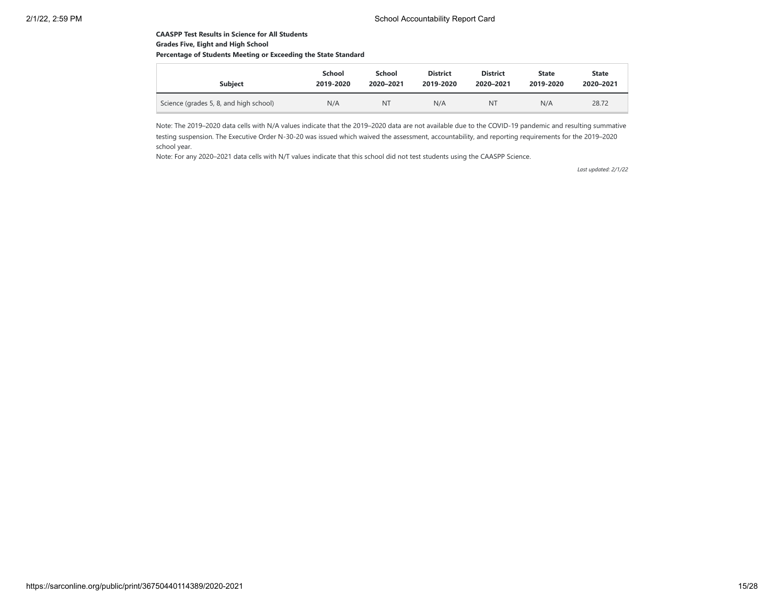## **CAASPP Test Results in Science for All Students Grades Five, Eight and High School**

# **Percentage of Students Meeting or Exceeding the State Standard**

| <b>Subiect</b>                         | School    | School    | <b>District</b> | <b>District</b> | <b>State</b> | <b>State</b> |
|----------------------------------------|-----------|-----------|-----------------|-----------------|--------------|--------------|
|                                        | 2019-2020 | 2020-2021 | 2019-2020       | 2020-2021       | 2019-2020    | 2020-2021    |
| Science (grades 5, 8, and high school) | N/A       | <b>NT</b> | N/A             | NT              | N/A          | 28.72        |

Note: The 2019–2020 data cells with N/A values indicate that the 2019–2020 data are not available due to the COVID-19 pandemic and resulting summative testing suspension. The Executive Order N-30-20 was issued which waived the assessment, accountability, and reporting requirements for the 2019–2020 school year.

Note: For any 2020–2021 data cells with N/T values indicate that this school did not test students using the CAASPP Science.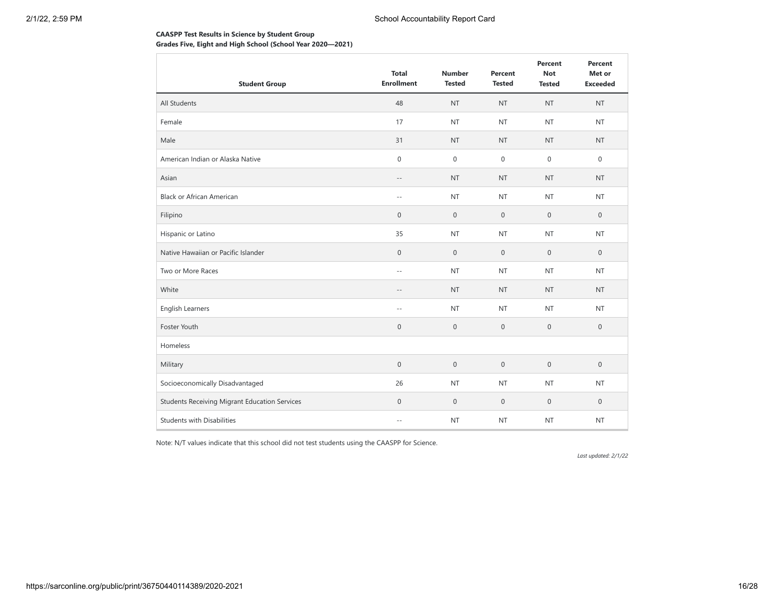# **CAASPP Test Results in Science by Student Group Grades Five, Eight and High School (School Year 2020—2021)**

| <b>Student Group</b>                                 | <b>Total</b><br><b>Enrollment</b> | <b>Number</b><br><b>Tested</b> | Percent<br><b>Tested</b> | Percent<br><b>Not</b><br><b>Tested</b> | Percent<br>Met or<br><b>Exceeded</b> |
|------------------------------------------------------|-----------------------------------|--------------------------------|--------------------------|----------------------------------------|--------------------------------------|
| All Students                                         | 48                                | <b>NT</b>                      | <b>NT</b>                | <b>NT</b>                              | <b>NT</b>                            |
| Female                                               | 17                                | <b>NT</b>                      | <b>NT</b>                | <b>NT</b>                              | <b>NT</b>                            |
| Male                                                 | 31                                | <b>NT</b>                      | <b>NT</b>                | <b>NT</b>                              | <b>NT</b>                            |
| American Indian or Alaska Native                     | $\boldsymbol{0}$                  | $\boldsymbol{0}$               | $\mathbf 0$              | $\mathbf{0}$                           | $\mathbf 0$                          |
| Asian                                                | $-\,-$                            | <b>NT</b>                      | <b>NT</b>                | <b>NT</b>                              | <b>NT</b>                            |
| <b>Black or African American</b>                     | $-$                               | <b>NT</b>                      | <b>NT</b>                | <b>NT</b>                              | <b>NT</b>                            |
| Filipino                                             | $\mathsf{O}\xspace$               | $\boldsymbol{0}$               | $\mathbf 0$              | $\mathbf 0$                            | $\mathbf 0$                          |
| Hispanic or Latino                                   | 35                                | <b>NT</b>                      | <b>NT</b>                | <b>NT</b>                              | <b>NT</b>                            |
| Native Hawaiian or Pacific Islander                  | $\boldsymbol{0}$                  | $\boldsymbol{0}$               | $\mathbf 0$              | $\mathbf{0}$                           | $\mathbf{0}$                         |
| Two or More Races                                    | $-$                               | <b>NT</b>                      | <b>NT</b>                | <b>NT</b>                              | <b>NT</b>                            |
| White                                                | $-$                               | <b>NT</b>                      | <b>NT</b>                | <b>NT</b>                              | <b>NT</b>                            |
| English Learners                                     | $- \, -$                          | <b>NT</b>                      | <b>NT</b>                | <b>NT</b>                              | <b>NT</b>                            |
| Foster Youth                                         | $\boldsymbol{0}$                  | $\boldsymbol{0}$               | $\mathbf 0$              | $\mathbf 0$                            | $\mathbf 0$                          |
| Homeless                                             |                                   |                                |                          |                                        |                                      |
| Military                                             | $\mathbf 0$                       | $\boldsymbol{0}$               | $\mathbf 0$              | $\mathbf{0}$                           | $\mathbf{0}$                         |
| Socioeconomically Disadvantaged                      | 26                                | <b>NT</b>                      | <b>NT</b>                | <b>NT</b>                              | <b>NT</b>                            |
| <b>Students Receiving Migrant Education Services</b> | $\mathbf 0$                       | $\boldsymbol{0}$               | $\mathbf 0$              | $\mathbf 0$                            | $\mathbf 0$                          |
| <b>Students with Disabilities</b>                    | $-$                               | <b>NT</b>                      | <b>NT</b>                | <b>NT</b>                              | <b>NT</b>                            |

Note: N/T values indicate that this school did not test students using the CAASPP for Science.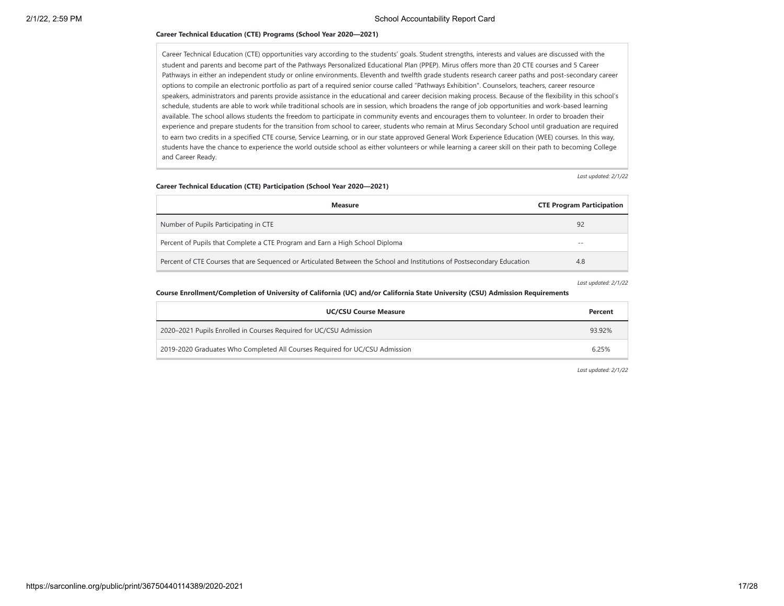### **Career Technical Education (CTE) Programs (School Year 2020—2021)**

Career Technical Education (CTE) opportunities vary according to the students' goals. Student strengths, interests and values are discussed with the student and parents and become part of the Pathways Personalized Educational Plan (PPEP). Mirus offers more than 20 CTE courses and 5 Career Pathways in either an independent study or online environments. Eleventh and twelfth grade students research career paths and post-secondary career options to compile an electronic portfolio as part of a required senior course called "Pathways Exhibition". Counselors, teachers, career resource speakers, administrators and parents provide assistance in the educational and career decision making process. Because of the flexibility in this school's schedule, students are able to work while traditional schools are in session, which broadens the range of job opportunities and work-based learning available. The school allows students the freedom to participate in community events and encourages them to volunteer. In order to broaden their experience and prepare students for the transition from school to career, students who remain at Mirus Secondary School until graduation are required to earn two credits in a specified CTE course, Service Learning, or in our state approved General Work Experience Education (WEE) courses. In this way, students have the chance to experience the world outside school as either volunteers or while learning a career skill on their path to becoming College and Career Ready.

*Last updated: 2/1/22*

#### **Career Technical Education (CTE) Participation (School Year 2020—2021)**

| <b>Measure</b>                                                                                                          | <b>CTE Program Participation</b> |
|-------------------------------------------------------------------------------------------------------------------------|----------------------------------|
| Number of Pupils Participating in CTE                                                                                   | 92                               |
| Percent of Pupils that Complete a CTE Program and Earn a High School Diploma                                            | $- -$                            |
| Percent of CTE Courses that are Sequenced or Articulated Between the School and Institutions of Postsecondary Education | 4.8                              |

*Last updated: 2/1/22*

#### **Course Enrollment/Completion of University of California (UC) and/or California State University (CSU) Admission Requirements**

| <b>UC/CSU Course Measure</b>                                                | Percent |
|-----------------------------------------------------------------------------|---------|
| 2020–2021 Pupils Enrolled in Courses Required for UC/CSU Admission          | 93.92%  |
| 2019-2020 Graduates Who Completed All Courses Required for UC/CSU Admission | 6.25%   |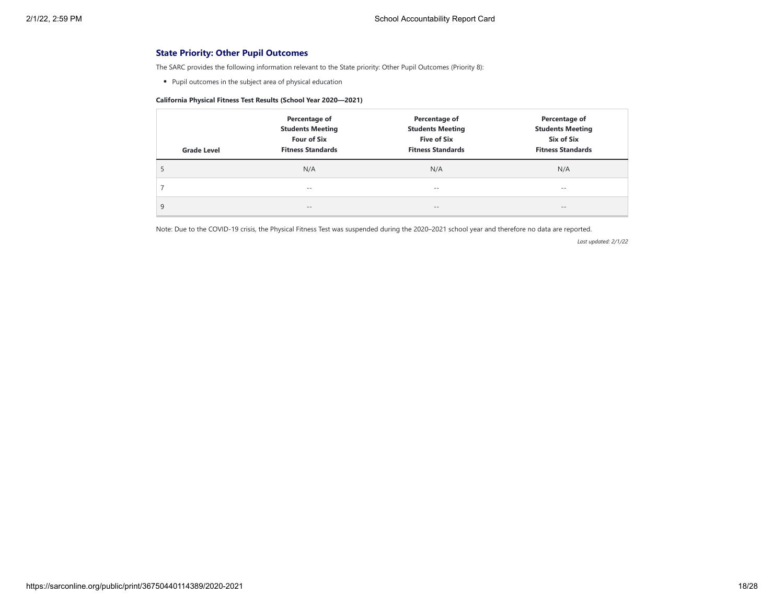# **State Priority: Other Pupil Outcomes**

The SARC provides the following information relevant to the State priority: Other Pupil Outcomes (Priority 8):

Pupil outcomes in the subject area of physical education

# **California Physical Fitness Test Results (School Year 2020—2021)**

| <b>Grade Level</b> | Percentage of<br><b>Students Meeting</b><br><b>Four of Six</b><br><b>Fitness Standards</b> | Percentage of<br><b>Students Meeting</b><br><b>Five of Six</b><br><b>Fitness Standards</b> | Percentage of<br><b>Students Meeting</b><br>Six of Six<br><b>Fitness Standards</b> |
|--------------------|--------------------------------------------------------------------------------------------|--------------------------------------------------------------------------------------------|------------------------------------------------------------------------------------|
| C                  | N/A                                                                                        | N/A                                                                                        | N/A                                                                                |
|                    | $- -$                                                                                      | $- -$                                                                                      | $- -$                                                                              |
| 9                  | $\qquad \qquad -$                                                                          | $\qquad \qquad -$                                                                          | $\qquad \qquad -$                                                                  |

Note: Due to the COVID-19 crisis, the Physical Fitness Test was suspended during the 2020–2021 school year and therefore no data are reported.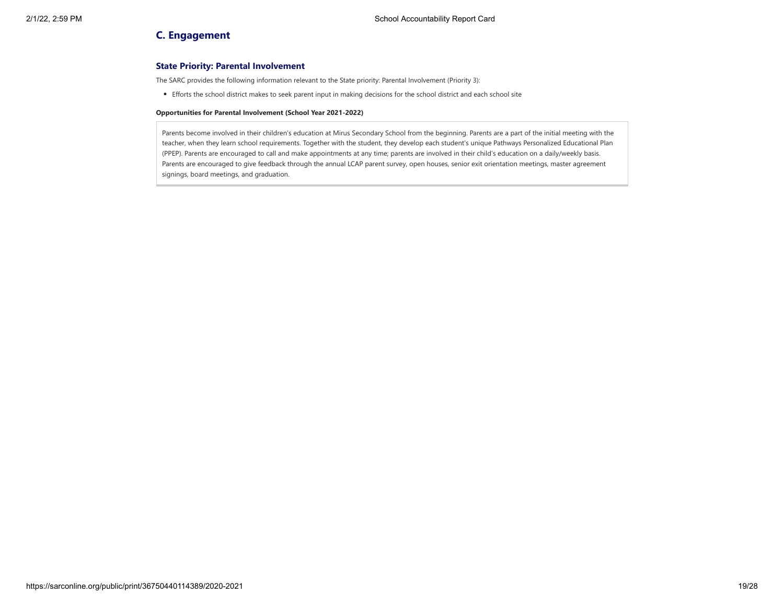# **C. Engagement**

# **State Priority: Parental Involvement**

The SARC provides the following information relevant to the State priority: Parental Involvement (Priority 3):

Efforts the school district makes to seek parent input in making decisions for the school district and each school site

#### **Opportunities for Parental Involvement (School Year 2021-2022)**

Parents become involved in their children's education at Mirus Secondary School from the beginning. Parents are a part of the initial meeting with the teacher, when they learn school requirements. Together with the student, they develop each student's unique Pathways Personalized Educational Plan (PPEP). Parents are encouraged to call and make appointments at any time; parents are involved in their child's education on a daily/weekly basis. Parents are encouraged to give feedback through the annual LCAP parent survey, open houses, senior exit orientation meetings, master agreement signings, board meetings, and graduation.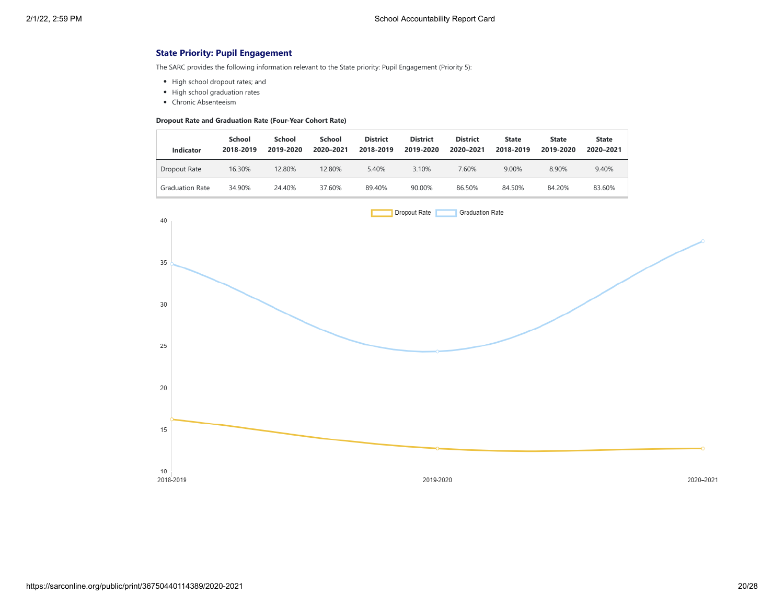# **State Priority: Pupil Engagement**

The SARC provides the following information relevant to the State priority: Pupil Engagement (Priority 5):

- High school dropout rates; and
- High school graduation rates
- Chronic Absenteeism

## **Dropout Rate and Graduation Rate (Four-Year Cohort Rate)**

| Indicator              | School<br>2018-2019 | School<br>2019-2020 | School<br>2020-2021 | <b>District</b><br>2018-2019 | <b>District</b><br>2019-2020 | <b>District</b><br>2020-2021 | <b>State</b><br>2018-2019 | <b>State</b><br>2019-2020 | <b>State</b><br>2020-2021 |
|------------------------|---------------------|---------------------|---------------------|------------------------------|------------------------------|------------------------------|---------------------------|---------------------------|---------------------------|
| Dropout Rate           | 16.30%              | 12.80%              | 12.80%              | 5.40%                        | 3.10%                        | 7.60%                        | 9.00%                     | 8.90%                     | 9.40%                     |
| <b>Graduation Rate</b> | 34.90%              | 24.40%              | 37.60%              | 89.40%                       | 90.00%                       | 86.50%                       | 84.50%                    | 84.20%                    | 83.60%                    |

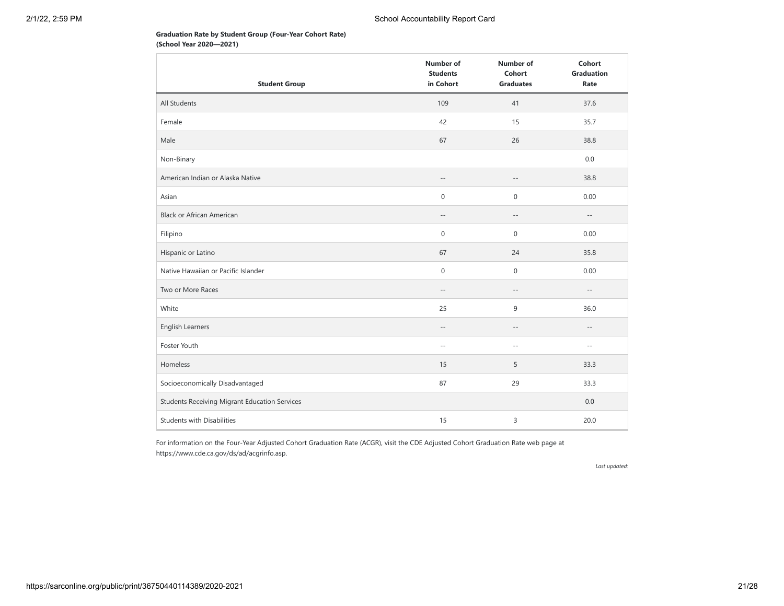# **Graduation Rate by Student Group (Four-Year Cohort Rate) (School Year 2020—2021)**

|                                               | <b>Number of</b><br><b>Students</b> | <b>Number of</b><br>Cohort | Cohort<br><b>Graduation</b> |
|-----------------------------------------------|-------------------------------------|----------------------------|-----------------------------|
| <b>Student Group</b>                          | in Cohort                           | <b>Graduates</b>           | Rate                        |
| All Students                                  | 109                                 | 41                         | 37.6                        |
| Female                                        | 42                                  | 15                         | 35.7                        |
| Male                                          | 67                                  | 26                         | 38.8                        |
| Non-Binary                                    |                                     |                            | 0.0                         |
| American Indian or Alaska Native              | $-\,-$                              | $-\,-$                     | 38.8                        |
| Asian                                         | $\boldsymbol{0}$                    | $\boldsymbol{0}$           | 0.00                        |
| <b>Black or African American</b>              | $\overline{\phantom{a}}$            | $\overline{\phantom{a}}$ . | $-\,-$                      |
| Filipino                                      | 0                                   | 0                          | 0.00                        |
| Hispanic or Latino                            | 67                                  | 24                         | 35.8                        |
| Native Hawaiian or Pacific Islander           | $\mathbf 0$                         | $\mathbf 0$                | 0.00                        |
| Two or More Races                             | $-$                                 | $\overline{\phantom{a}}$ . | $-\,-$                      |
| White                                         | 25                                  | 9                          | 36.0                        |
| English Learners                              | $-\,-$                              | $-\,-$                     | $-\,-$                      |
| Foster Youth                                  | $-$                                 | $-$                        | $\sim$ $-$                  |
| Homeless                                      | 15                                  | 5                          | 33.3                        |
| Socioeconomically Disadvantaged               | 87                                  | 29                         | 33.3                        |
| Students Receiving Migrant Education Services |                                     |                            | 0.0                         |
| <b>Students with Disabilities</b>             | 15                                  | 3                          | 20.0                        |

For information on the Four-Year Adjusted Cohort Graduation Rate (ACGR), visit the CDE Adjusted Cohort Graduation Rate web page at https://www.cde.ca.gov/ds/ad/acgrinfo.asp.

*Last updated:*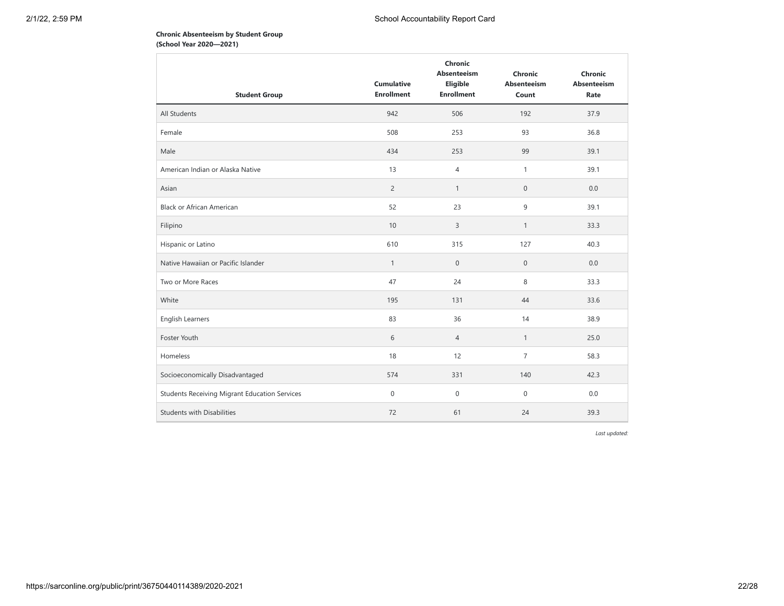# **Chronic Absenteeism by Student Group (School Year 2020—2021)**

| <b>Cumulative</b><br><b>Enrollment</b> | Chronic<br><b>Absenteeism</b><br>Eligible<br><b>Enrollment</b> | Chronic<br>Absenteeism<br>Count | Chronic<br>Absenteeism<br>Rate |
|----------------------------------------|----------------------------------------------------------------|---------------------------------|--------------------------------|
| 942                                    | 506                                                            | 192                             | 37.9                           |
| 508                                    | 253                                                            | 93                              | 36.8                           |
| 434                                    | 253                                                            | 99                              | 39.1                           |
| 13                                     | $\overline{4}$                                                 | 1                               | 39.1                           |
| $\overline{2}$                         | $\mathbf{1}$                                                   | $\boldsymbol{0}$                | 0.0                            |
| 52                                     | 23                                                             | 9                               | 39.1                           |
| 10                                     | 3                                                              | $\mathbf{1}$                    | 33.3                           |
| 610                                    | 315                                                            | 127                             | 40.3                           |
| $\mathbf{1}$                           | $\boldsymbol{0}$                                               | $\mathbf 0$                     | 0.0                            |
| 47                                     | 24                                                             | 8                               | 33.3                           |
| 195                                    | 131                                                            | 44                              | 33.6                           |
| 83                                     | 36                                                             | 14                              | 38.9                           |
| 6                                      | $\overline{4}$                                                 | $\mathbf{1}$                    | 25.0                           |
| 18                                     | 12                                                             | $\overline{7}$                  | 58.3                           |
| 574                                    | 331                                                            | 140                             | 42.3                           |
| $\mathbf 0$                            | $\boldsymbol{0}$                                               | $\mathbf 0$                     | 0.0                            |
| 72                                     | 61                                                             | 24                              | 39.3                           |
|                                        |                                                                |                                 |                                |

*Last updated:*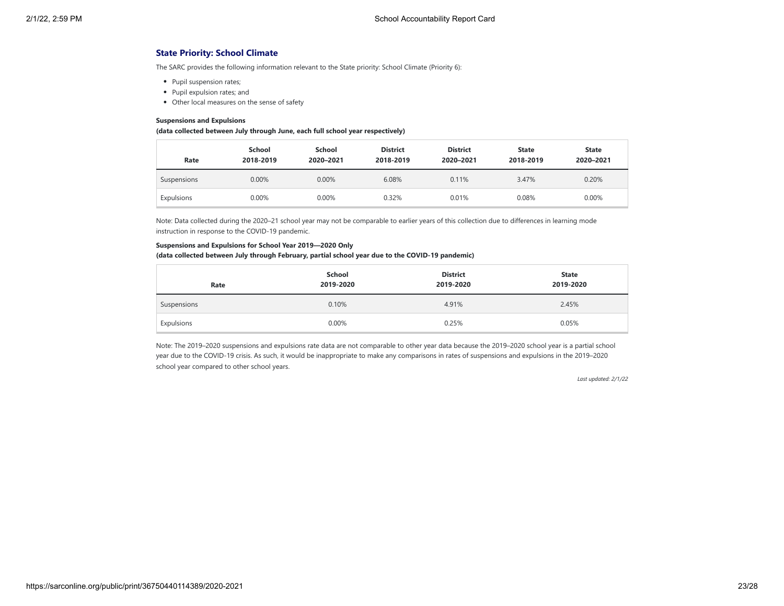# **State Priority: School Climate**

The SARC provides the following information relevant to the State priority: School Climate (Priority 6):

- Pupil suspension rates;
- Pupil expulsion rates; and
- Other local measures on the sense of safety

#### **Suspensions and Expulsions**

#### **(data collected between July through June, each full school year respectively)**

| Rate        | School<br>2018-2019 | School<br>2020-2021 | <b>District</b><br>2018-2019 | <b>District</b><br>2020-2021 | <b>State</b><br>2018-2019 | <b>State</b><br>2020-2021 |
|-------------|---------------------|---------------------|------------------------------|------------------------------|---------------------------|---------------------------|
| Suspensions | 0.00%               | 0.00%               | 6.08%                        | 0.11%                        | 3.47%                     | 0.20%                     |
| Expulsions  | 0.00%               | 0.00%               | 0.32%                        | 0.01%                        | 0.08%                     | 0.00%                     |

Note: Data collected during the 2020–21 school year may not be comparable to earlier years of this collection due to differences in learning mode instruction in response to the COVID-19 pandemic.

#### **Suspensions and Expulsions for School Year 2019—2020 Only**

#### **(data collected between July through February, partial school year due to the COVID-19 pandemic)**

| Rate        | School<br>2019-2020 | <b>District</b><br>2019-2020 | <b>State</b><br>2019-2020 |
|-------------|---------------------|------------------------------|---------------------------|
| Suspensions | 0.10%               | 4.91%                        | 2.45%                     |
| Expulsions  | 0.00%               | 0.25%                        | 0.05%                     |

Note: The 2019–2020 suspensions and expulsions rate data are not comparable to other year data because the 2019–2020 school year is a partial school year due to the COVID-19 crisis. As such, it would be inappropriate to make any comparisons in rates of suspensions and expulsions in the 2019–2020 school year compared to other school years.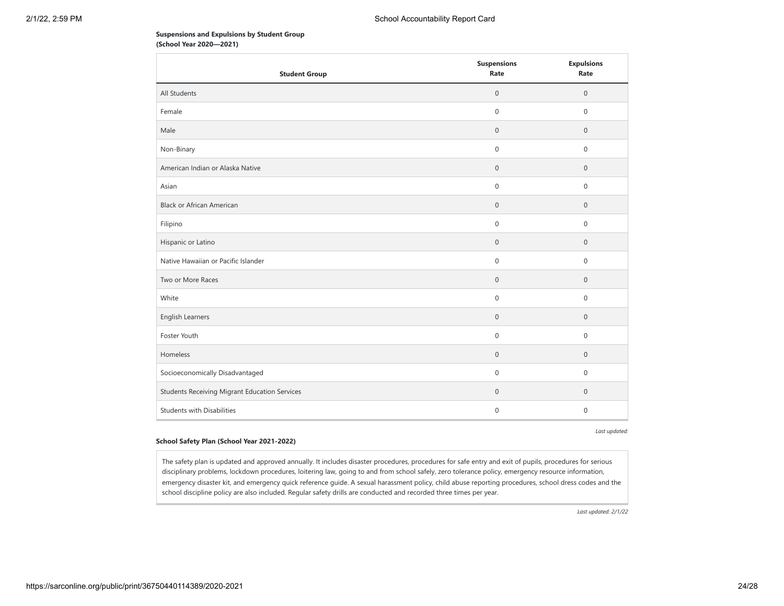## **Suspensions and Expulsions by Student Group (School Year 2020—2021)**

| <b>Student Group</b>                                 | <b>Suspensions</b><br>Rate | <b>Expulsions</b><br>Rate |
|------------------------------------------------------|----------------------------|---------------------------|
| All Students                                         | $\mathbf 0$                | $\mathsf{O}\xspace$       |
| Female                                               | $\mathsf{O}\xspace$        | $\mathsf{O}\xspace$       |
| Male                                                 | $\mathbf 0$                | $\mathbf{0}$              |
| Non-Binary                                           | $\mathbf 0$                | 0                         |
| American Indian or Alaska Native                     | $\mathbf 0$                | $\mathbf 0$               |
| Asian                                                | $\mathsf{O}\xspace$        | $\mathsf{O}\xspace$       |
| <b>Black or African American</b>                     | $\mathbf 0$                | $\mathbf 0$               |
| Filipino                                             | $\mathsf{O}\xspace$        | $\mathsf{O}\xspace$       |
| Hispanic or Latino                                   | $\mathbf 0$                | $\mathsf{O}\xspace$       |
| Native Hawaiian or Pacific Islander                  | $\mathbf 0$                | $\mathsf{O}\xspace$       |
| Two or More Races                                    | $\mathbf 0$                | $\mathbf 0$               |
| White                                                | $\mathsf{O}\xspace$        | $\mathbf 0$               |
| English Learners                                     | $\mathbf 0$                | $\mathsf{O}\xspace$       |
| Foster Youth                                         | $\mathsf{O}\xspace$        | 0                         |
| Homeless                                             | $\mathsf{O}\xspace$        | $\mathbf 0$               |
| Socioeconomically Disadvantaged                      | $\mathbf 0$                | $\mathsf{O}\xspace$       |
| <b>Students Receiving Migrant Education Services</b> | $\mathbf 0$                | $\mathbf 0$               |
| <b>Students with Disabilities</b>                    | $\mathbf 0$                | 0                         |

*Last updated:*

### **School Safety Plan (School Year 2021-2022)**

The safety plan is updated and approved annually. It includes disaster procedures, procedures for safe entry and exit of pupils, procedures for serious disciplinary problems, lockdown procedures, loitering law, going to and from school safely, zero tolerance policy, emergency resource information, emergency disaster kit, and emergency quick reference guide. A sexual harassment policy, child abuse reporting procedures, school dress codes and the school discipline policy are also included. Regular safety drills are conducted and recorded three times per year.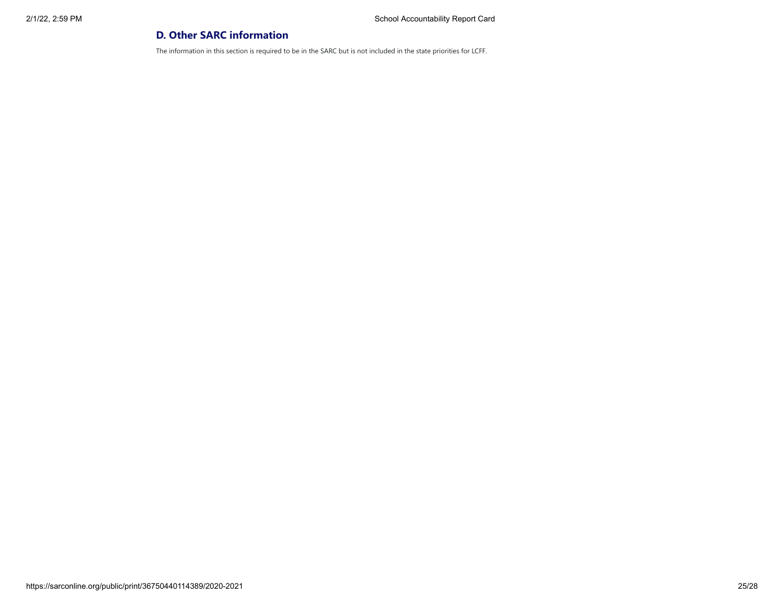# **D. Other SARC information**

The information in this section is required to be in the SARC but is not included in the state priorities for LCFF.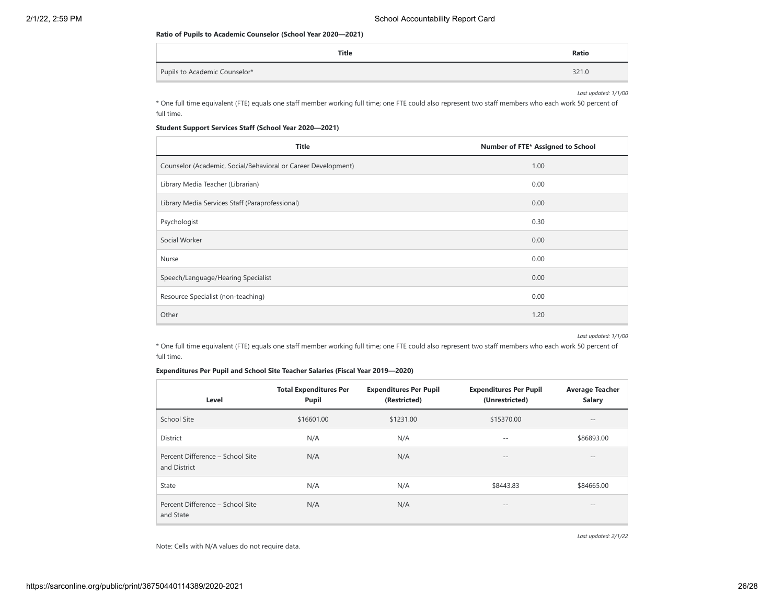#### **Ratio of Pupils to Academic Counselor (School Year 2020—2021)**

| Title                         | Ratio |
|-------------------------------|-------|
| Pupils to Academic Counselor* | 321.0 |

*Last updated: 1/1/00*

\* One full time equivalent (FTE) equals one staff member working full time; one FTE could also represent two staff members who each work 50 percent of full time.

## **Student Support Services Staff (School Year 2020—2021)**

| <b>Title</b>                                                  | Number of FTE* Assigned to School |
|---------------------------------------------------------------|-----------------------------------|
| Counselor (Academic, Social/Behavioral or Career Development) | 1.00                              |
| Library Media Teacher (Librarian)                             | 0.00                              |
| Library Media Services Staff (Paraprofessional)               | 0.00                              |
| Psychologist                                                  | 0.30                              |
| Social Worker                                                 | 0.00                              |
| Nurse                                                         | 0.00                              |
| Speech/Language/Hearing Specialist                            | 0.00                              |
| Resource Specialist (non-teaching)                            | 0.00                              |
| Other                                                         | 1.20                              |

*Last updated: 1/1/00*

\* One full time equivalent (FTE) equals one staff member working full time; one FTE could also represent two staff members who each work 50 percent of full time.

## **Expenditures Per Pupil and School Site Teacher Salaries (Fiscal Year 2019—2020)**

| Level                                            | <b>Total Expenditures Per</b><br>Pupil | <b>Expenditures Per Pupil</b><br>(Restricted) | <b>Expenditures Per Pupil</b><br>(Unrestricted) | <b>Average Teacher</b><br><b>Salary</b> |
|--------------------------------------------------|----------------------------------------|-----------------------------------------------|-------------------------------------------------|-----------------------------------------|
| School Site                                      | \$16601.00                             | \$1231.00                                     | \$15370.00                                      | $- -$                                   |
| District                                         | N/A                                    | N/A                                           | $- -$                                           | \$86893.00                              |
| Percent Difference - School Site<br>and District | N/A                                    | N/A                                           | $\qquad \qquad -$                               | $- -$                                   |
| State                                            | N/A                                    | N/A                                           | \$8443.83                                       | \$84665.00                              |
| Percent Difference - School Site<br>and State    | N/A                                    | N/A                                           | $\qquad \qquad -$                               | $- -$                                   |

*Last updated: 2/1/22*

Note: Cells with N/A values do not require data.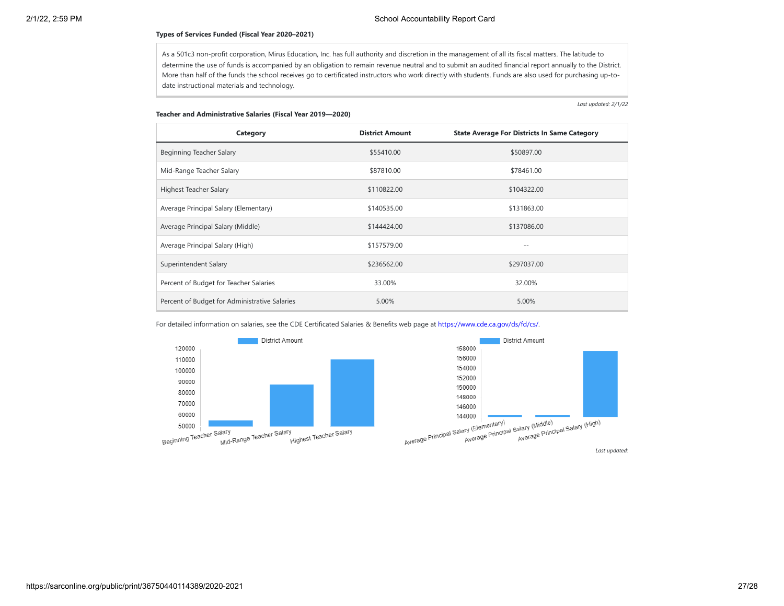### **Types of Services Funded (Fiscal Year 2020–2021)**

As a 501c3 non-profit corporation, Mirus Education, Inc. has full authority and discretion in the management of all its fiscal matters. The latitude to determine the use of funds is accompanied by an obligation to remain revenue neutral and to submit an audited financial report annually to the District. More than half of the funds the school receives go to certificated instructors who work directly with students. Funds are also used for purchasing up-todate instructional materials and technology.

*Last updated: 2/1/22*

### **Teacher and Administrative Salaries (Fiscal Year 2019—2020)**

| Category                                      | <b>District Amount</b> | <b>State Average For Districts In Same Category</b> |
|-----------------------------------------------|------------------------|-----------------------------------------------------|
| Beginning Teacher Salary                      | \$55410.00             | \$50897.00                                          |
| Mid-Range Teacher Salary                      | \$87810.00             | \$78461.00                                          |
| Highest Teacher Salary                        | \$110822.00            | \$104322.00                                         |
| Average Principal Salary (Elementary)         | \$140535.00            | \$131863.00                                         |
| Average Principal Salary (Middle)             | \$144424.00            | \$137086.00                                         |
| Average Principal Salary (High)               | \$157579.00            | $ -$                                                |
| Superintendent Salary                         | \$236562.00            | \$297037.00                                         |
| Percent of Budget for Teacher Salaries        | 33.00%                 | 32.00%                                              |
| Percent of Budget for Administrative Salaries | 5.00%                  | 5.00%                                               |

For detailed information on salaries, see the CDE Certificated Salaries & Benefits web page at [https://www.cde.ca.gov/ds/fd/cs/.](https://www.cde.ca.gov/ds/fd/cs/)